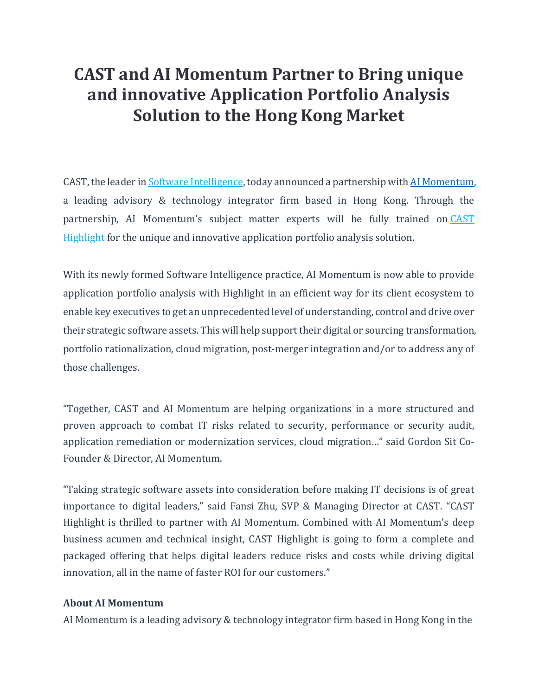# **CAST and AI Momentum Partner to Bring unique and innovative Application Portfolio Analysis Solution to the Hong Kong Market**

CAST, the leader in **Software Intelligence**, today announced a partnership with **AI Momentum**, a leading advisory & technology integrator firm based in Hong Kong. Through the partnership, AI Momentum's subject matter experts will be fully trained on [CAST](https://www.castsoftware.com/products/highlight) [Highlight](https://www.castsoftware.com/products/highlight) for the unique and innovative application portfolio analysis solution.

With its newly formed Software Intelligence practice, AI Momentum is now able to provide application portfolio analysis with Highlight in an efficient way for its client ecosystem to enable key executives to get an unprecedented level of understanding, control and drive over their strategic software assets. This will help support their digital or sourcing transformation, portfolio rationalization, cloud migration, post-merger integration and/or to address any of those challenges.

"Together, CAST and AI Momentum are helping organizations in a more structured and proven approach to combat IT risks related to security, performance or security audit, application remediation or modernization services, cloud migration…" said Gordon Sit Co-Founder & Director, AI Momentum.

"Taking strategic software assets into consideration before making IT decisions is of great importance to digital leaders," said Fansi Zhu, SVP & Managing Director at CAST. "CAST Highlight is thrilled to partner with AI Momentum. Combined with AI Momentum's deep business acumen and technical insight, CAST Highlight is going to form a complete and packaged offering that helps digital leaders reduce risks and costs while driving digital innovation, all in the name of faster ROI for our customers."

#### **About AI Momentum**

AI Momentum is a leading advisory & technology integrator firm based in Hong Kong in the